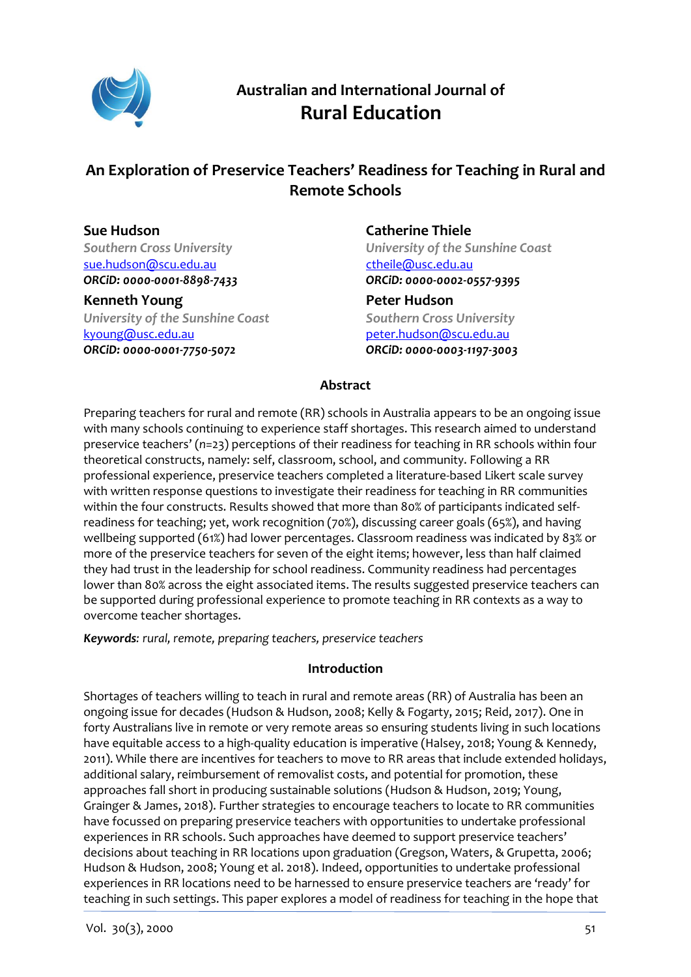

# **Australian and International Journal of Rural Education**

## **An Exploration of Preservice Teachers' Readiness for Teaching in Rural and Remote Schools**

# **Sue Hudson**

*Southern Cross University* [sue.hudson@scu.edu.au](mailto:sue.hudson@scu.edu.au) *ORCiD: [0000-0001-8898-7433](https://orcid.org/0000-0001-8898-7433)*

#### **Kenneth Young**

*University of the Sunshine Coast* [kyoung@usc.edu.au](mailto:kyoung@usc.edu.au) *ORCiD: [0000-0001-7750-5072](https://orcid.org/0000-0001-7750-5072)*

## **Catherine Thiele**

*University of the Sunshine Coast* [ctheile@usc.edu.au](mailto:ctheile@usc.edu.au) *ORCiD: [0000-0002-0557-9395](https://orcid.org/0000-0002-0557-9395)* **Peter Hudson** *Southern Cross University* [peter.hudson@scu.edu.au](mailto:peter.hudson@scu.edu.au) *ORCiD: [0000-0003-1197-3003](https://orcid.org/0000-0003-1197-3003)*

## **Abstract**

Preparing teachers for rural and remote (RR) schools in Australia appears to be an ongoing issue with many schools continuing to experience staff shortages. This research aimed to understand preservice teachers' (*n*=23) perceptions of their readiness for teaching in RR schools within four theoretical constructs, namely: self, classroom, school, and community. Following a RR professional experience, preservice teachers completed a literature-based Likert scale survey with written response questions to investigate their readiness for teaching in RR communities within the four constructs. Results showed that more than 80% of participants indicated selfreadiness for teaching; yet, work recognition (70%), discussing career goals (65%), and having wellbeing supported (61%) had lower percentages. Classroom readiness was indicated by 83% or more of the preservice teachers for seven of the eight items; however, less than half claimed they had trust in the leadership for school readiness. Community readiness had percentages lower than 80% across the eight associated items. The results suggested preservice teachers can be supported during professional experience to promote teaching in RR contexts as a way to overcome teacher shortages.

*Keywords: rural, remote, preparing teachers, preservice teachers*

### **Introduction**

Shortages of teachers willing to teach in rural and remote areas (RR) of Australia has been an ongoing issue for decades (Hudson & Hudson, 2008; Kelly & Fogarty, 2015; Reid, 2017). One in forty Australians live in remote or very remote areas so ensuring students living in such locations have equitable access to a high-quality education is imperative (Halsey, 2018; Young & Kennedy, 2011). While there are incentives for teachers to move to RR areas that include extended holidays, additional salary, reimbursement of removalist costs, and potential for promotion, these approaches fall short in producing sustainable solutions (Hudson & Hudson, 2019; Young, Grainger & James, 2018). Further strategies to encourage teachers to locate to RR communities have focussed on preparing preservice teachers with opportunities to undertake professional experiences in RR schools. Such approaches have deemed to support preservice teachers' decisions about teaching in RR locations upon graduation (Gregson, Waters, & Grupetta, 2006; Hudson & Hudson, 2008; Young et al. 2018). Indeed, opportunities to undertake professional experiences in RR locations need to be harnessed to ensure preservice teachers are 'ready' for teaching in such settings. This paper explores a model of readiness for teaching in the hope that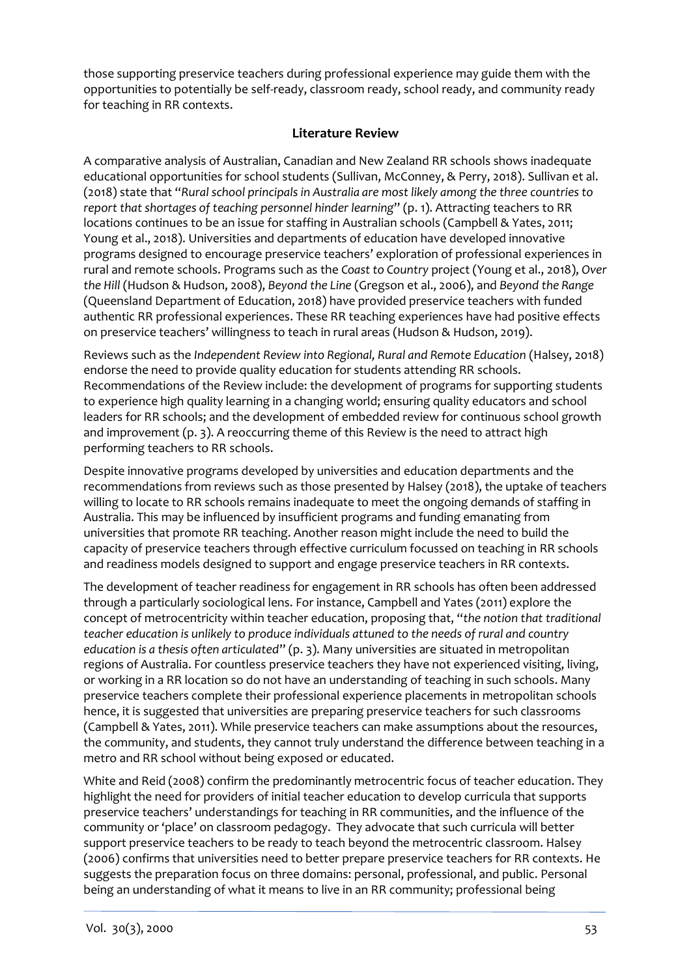those supporting preservice teachers during professional experience may guide them with the opportunities to potentially be self-ready, classroom ready, school ready, and community ready for teaching in RR contexts.

### **Literature Review**

A comparative analysis of Australian, Canadian and New Zealand RR schools shows inadequate educational opportunities for school students (Sullivan, McConney, & Perry, 2018). Sullivan et al. (2018) state that "*Rural school principals in Australia are most likely among the three countries to report that shortages of teaching personnel hinder learning*" (p. 1). Attracting teachers to RR locations continues to be an issue for staffing in Australian schools (Campbell & Yates, 2011; Young et al., 2018). Universities and departments of education have developed innovative programs designed to encourage preservice teachers' exploration of professional experiences in rural and remote schools. Programs such as the *Coast to Country* project (Young et al., 2018), *Over the Hill* (Hudson & Hudson, 2008), *Beyond the Line* (Gregson et al., 2006), and *Beyond the Range*  (Queensland Department of Education, 2018) have provided preservice teachers with funded authentic RR professional experiences. These RR teaching experiences have had positive effects on preservice teachers' willingness to teach in rural areas (Hudson & Hudson, 2019).

Reviews such as the *Independent Review into Regional, Rural and Remote Education* (Halsey, 2018) endorse the need to provide quality education for students attending RR schools. Recommendations of the Review include: the development of programs for supporting students to experience high quality learning in a changing world; ensuring quality educators and school leaders for RR schools; and the development of embedded review for continuous school growth and improvement  $(p, 3)$ . A reoccurring theme of this Review is the need to attract high performing teachers to RR schools.

Despite innovative programs developed by universities and education departments and the recommendations from reviews such as those presented by Halsey (2018), the uptake of teachers willing to locate to RR schools remains inadequate to meet the ongoing demands of staffing in Australia. This may be influenced by insufficient programs and funding emanating from universities that promote RR teaching. Another reason might include the need to build the capacity of preservice teachers through effective curriculum focussed on teaching in RR schools and readiness models designed to support and engage preservice teachers in RR contexts.

The development of teacher readiness for engagement in RR schools has often been addressed through a particularly sociological lens. For instance, Campbell and Yates (2011) explore the concept of metrocentricity within teacher education, proposing that, "*the notion that traditional teacher education is unlikely to produce individuals attuned to the needs of rural and country education is a thesis often articulated*" (p. 3). Many universities are situated in metropolitan regions of Australia. For countless preservice teachers they have not experienced visiting, living, or working in a RR location so do not have an understanding of teaching in such schools. Many preservice teachers complete their professional experience placements in metropolitan schools hence, it is suggested that universities are preparing preservice teachers for such classrooms (Campbell & Yates, 2011). While preservice teachers can make assumptions about the resources, the community, and students, they cannot truly understand the difference between teaching in a metro and RR school without being exposed or educated.

White and Reid (2008) confirm the predominantly metrocentric focus of teacher education. They highlight the need for providers of initial teacher education to develop curricula that supports preservice teachers' understandings for teaching in RR communities, and the influence of the community or 'place' on classroom pedagogy. They advocate that such curricula will better support preservice teachers to be ready to teach beyond the metrocentric classroom. Halsey (2006) confirms that universities need to better prepare preservice teachers for RR contexts. He suggests the preparation focus on three domains: personal, professional, and public. Personal being an understanding of what it means to live in an RR community; professional being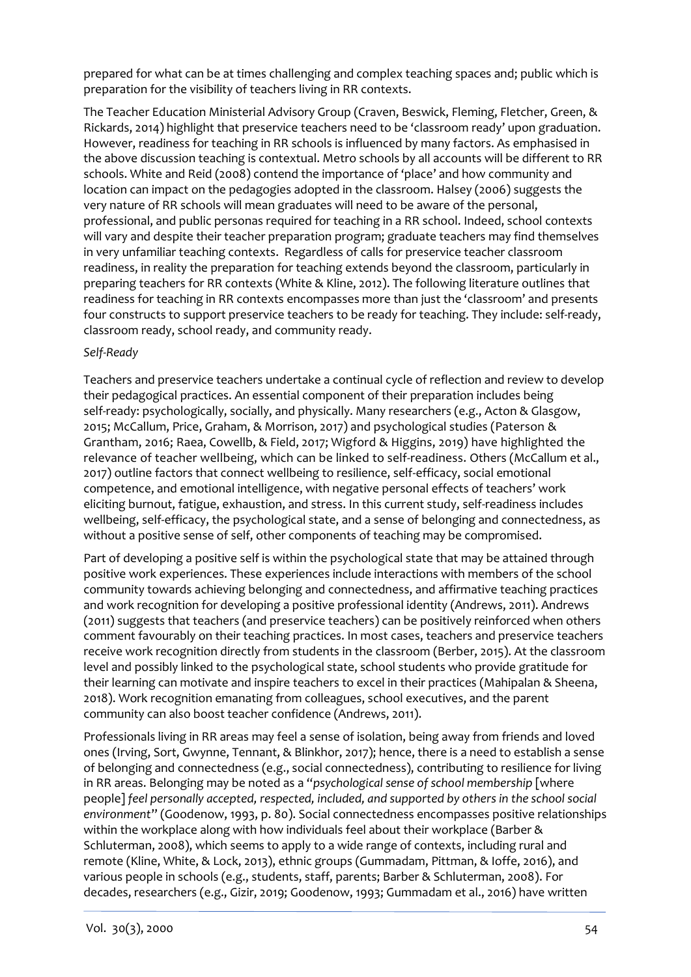prepared for what can be at times challenging and complex teaching spaces and; public which is preparation for the visibility of teachers living in RR contexts.

The Teacher Education Ministerial Advisory Group (Craven, Beswick, Fleming, Fletcher, Green, & Rickards, 2014) highlight that preservice teachers need to be 'classroom ready' upon graduation. However, readiness for teaching in RR schools is influenced by many factors. As emphasised in the above discussion teaching is contextual. Metro schools by all accounts will be different to RR schools. White and Reid (2008) contend the importance of 'place' and how community and location can impact on the pedagogies adopted in the classroom. Halsey (2006) suggests the very nature of RR schools will mean graduates will need to be aware of the personal, professional, and public personas required for teaching in a RR school. Indeed, school contexts will vary and despite their teacher preparation program; graduate teachers may find themselves in very unfamiliar teaching contexts. Regardless of calls for preservice teacher classroom readiness, in reality the preparation for teaching extends beyond the classroom, particularly in preparing teachers for RR contexts (White & Kline, 2012). The following literature outlines that readiness for teaching in RR contexts encompasses more than just the 'classroom' and presents four constructs to support preservice teachers to be ready for teaching. They include: self-ready, classroom ready, school ready, and community ready.

#### *Self-Ready*

Teachers and preservice teachers undertake a continual cycle of reflection and review to develop their pedagogical practices. An essential component of their preparation includes being self-ready: psychologically, socially, and physically. Many researchers (e.g., Acton & Glasgow, 2015; McCallum, Price, Graham, & Morrison, 2017) and psychological studies (Paterson & Grantham, 2016; Raea, Cowellb, & Field, 2017; Wigford & Higgins, 2019) have highlighted the relevance of teacher wellbeing, which can be linked to self-readiness. Others (McCallum et al., 2017) outline factors that connect wellbeing to resilience, self-efficacy, social emotional competence, and emotional intelligence, with negative personal effects of teachers' work eliciting burnout, fatigue, exhaustion, and stress. In this current study, self-readiness includes wellbeing, self-efficacy, the psychological state, and a sense of belonging and connectedness, as without a positive sense of self, other components of teaching may be compromised.

Part of developing a positive self is within the psychological state that may be attained through positive work experiences. These experiences include interactions with members of the school community towards achieving belonging and connectedness, and affirmative teaching practices and work recognition for developing a positive professional identity (Andrews, 2011). Andrews (2011) suggests that teachers (and preservice teachers) can be positively reinforced when others comment favourably on their teaching practices. In most cases, teachers and preservice teachers receive work recognition directly from students in the classroom (Berber, 2015). At the classroom level and possibly linked to the psychological state, school students who provide gratitude for their learning can motivate and inspire teachers to excel in their practices (Mahipalan & Sheena, 2018). Work recognition emanating from colleagues, school executives, and the parent community can also boost teacher confidence (Andrews, 2011).

Professionals living in RR areas may feel a sense of isolation, being away from friends and loved ones (Irving, Sort, Gwynne, Tennant, & Blinkhor, 2017); hence, there is a need to establish a sense of belonging and connectedness (e.g., social connectedness), contributing to resilience for living in RR areas. Belonging may be noted as a "*psychological sense of school membership* [where people] *feel personally accepted, respected, included, and supported by others in the school social environment*" (Goodenow, 1993, p. 80). Social connectedness encompasses positive relationships within the workplace along with how individuals feel about their workplace (Barber & Schluterman, 2008), which seems to apply to a wide range of contexts, including rural and remote (Kline, White, & Lock, 2013), ethnic groups (Gummadam, Pittman, & Ioffe, 2016), and various people in schools (e.g., students, staff, parents; Barber & Schluterman, 2008). For decades, researchers (e.g., Gizir, 2019; Goodenow, 1993; Gummadam et al., 2016) have written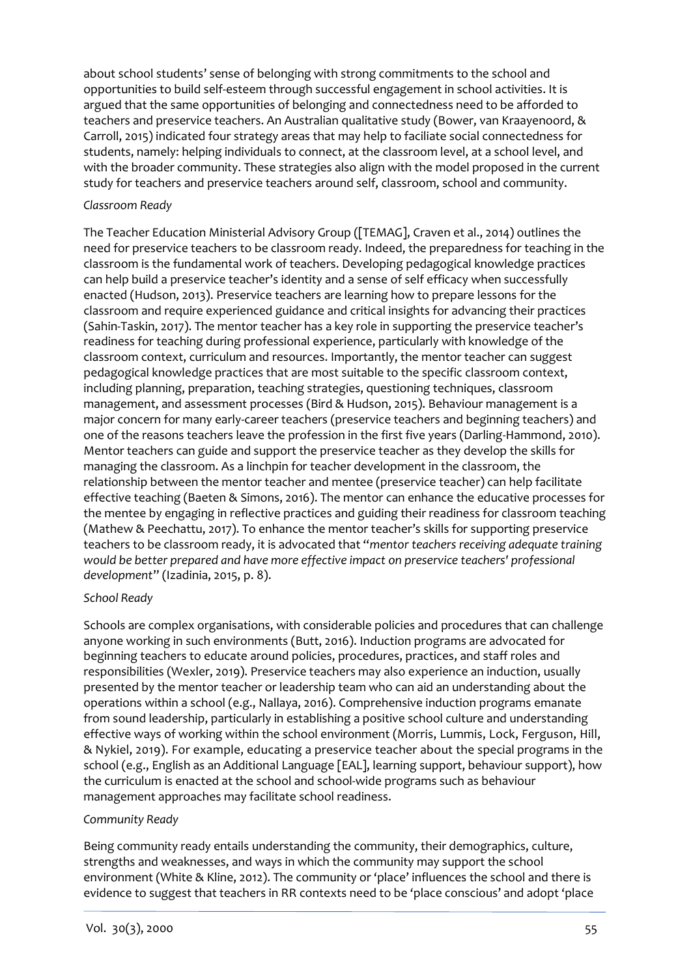about school students' sense of belonging with strong commitments to the school and opportunities to build self-esteem through successful engagement in school activities. It is argued that the same opportunities of belonging and connectedness need to be afforded to teachers and preservice teachers. An Australian qualitative study (Bower, van Kraayenoord, & Carroll, 2015) indicated four strategy areas that may help to faciliate social connectedness for students, namely: helping individuals to connect, at the classroom level, at a school level, and with the broader community. These strategies also align with the model proposed in the current study for teachers and preservice teachers around self, classroom, school and community.

#### *Classroom Ready*

The Teacher Education Ministerial Advisory Group ([TEMAG], Craven et al., 2014) outlines the need for preservice teachers to be classroom ready. Indeed, the preparedness for teaching in the classroom is the fundamental work of teachers. Developing pedagogical knowledge practices can help build a preservice teacher's identity and a sense of self efficacy when successfully enacted (Hudson, 2013). Preservice teachers are learning how to prepare lessons for the classroom and require experienced guidance and critical insights for advancing their practices (Sahin-Taskin, 2017). The mentor teacher has a key role in supporting the preservice teacher's readiness for teaching during professional experience, particularly with knowledge of the classroom context, curriculum and resources. Importantly, the mentor teacher can suggest pedagogical knowledge practices that are most suitable to the specific classroom context, including planning, preparation, teaching strategies, questioning techniques, classroom management, and assessment processes (Bird & Hudson, 2015). Behaviour management is a major concern for many early-career teachers (preservice teachers and beginning teachers) and one of the reasons teachers leave the profession in the first five years (Darling-Hammond, 2010). Mentor teachers can guide and support the preservice teacher as they develop the skills for managing the classroom. As a linchpin for teacher development in the classroom, the relationship between the mentor teacher and mentee (preservice teacher) can help facilitate effective teaching (Baeten & Simons, 2016). The mentor can enhance the educative processes for the mentee by engaging in reflective practices and guiding their readiness for classroom teaching (Mathew & Peechattu, 2017). To enhance the mentor teacher's skills for supporting preservice teachers to be classroom ready, it is advocated that "*mentor teachers receiving adequate training would be better prepared and have more effective impact on preservice teachers' professional development*" (Izadinia, 2015, p. 8).

#### *School Ready*

Schools are complex organisations, with considerable policies and procedures that can challenge anyone working in such environments (Butt, 2016). Induction programs are advocated for beginning teachers to educate around policies, procedures, practices, and staff roles and responsibilities (Wexler, 2019). Preservice teachers may also experience an induction, usually presented by the mentor teacher or leadership team who can aid an understanding about the operations within a school (e.g., Nallaya, 2016). Comprehensive induction programs emanate from sound leadership, particularly in establishing a positive school culture and understanding effective ways of working within the school environment (Morris, Lummis, Lock, Ferguson, Hill, & Nykiel, 2019). For example, educating a preservice teacher about the special programs in the school (e.g., English as an Additional Language [EAL], learning support, behaviour support), how the curriculum is enacted at the school and school-wide programs such as behaviour management approaches may facilitate school readiness.

#### *Community Ready*

Being community ready entails understanding the community, their demographics, culture, strengths and weaknesses, and ways in which the community may support the school environment (White & Kline, 2012). The community or 'place' influences the school and there is evidence to suggest that teachers in RR contexts need to be 'place conscious' and adopt 'place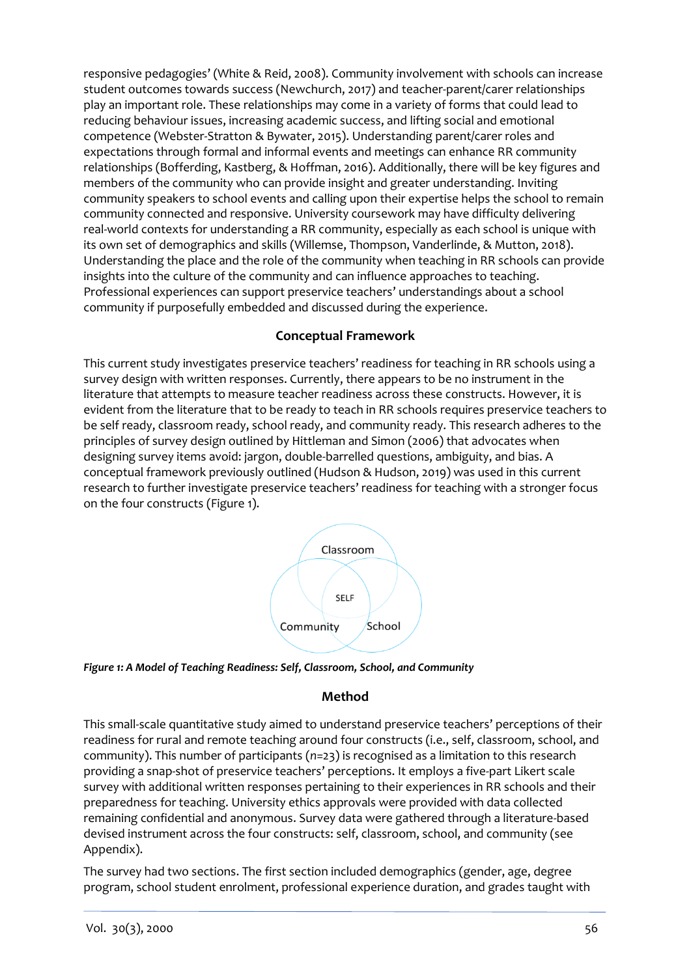responsive pedagogies' (White & Reid, 2008). Community involvement with schools can increase student outcomes towards success (Newchurch, 2017) and teacher-parent/carer relationships play an important role. These relationships may come in a variety of forms that could lead to reducing behaviour issues, increasing academic success, and lifting social and emotional competence (Webster-Stratton & Bywater, 2015). Understanding parent/carer roles and expectations through formal and informal events and meetings can enhance RR community relationships (Bofferding, Kastberg, & Hoffman, 2016). Additionally, there will be key figures and members of the community who can provide insight and greater understanding. Inviting community speakers to school events and calling upon their expertise helps the school to remain community connected and responsive. University coursework may have difficulty delivering real-world contexts for understanding a RR community, especially as each school is unique with its own set of demographics and skills (Willemse, Thompson, Vanderlinde, & Mutton, 2018). Understanding the place and the role of the community when teaching in RR schools can provide insights into the culture of the community and can influence approaches to teaching. Professional experiences can support preservice teachers' understandings about a school community if purposefully embedded and discussed during the experience.

## **Conceptual Framework**

This current study investigates preservice teachers' readiness for teaching in RR schools using a survey design with written responses. Currently, there appears to be no instrument in the literature that attempts to measure teacher readiness across these constructs. However, it is evident from the literature that to be ready to teach in RR schools requires preservice teachers to be self ready, classroom ready, school ready, and community ready. This research adheres to the principles of survey design outlined by Hittleman and Simon (2006) that advocates when designing survey items avoid: jargon, double-barrelled questions, ambiguity, and bias. A conceptual framework previously outlined (Hudson & Hudson, 2019) was used in this current research to further investigate preservice teachers' readiness for teaching with a stronger focus on the four constructs (Figure 1).





## **Method**

This small-scale quantitative study aimed to understand preservice teachers' perceptions of their readiness for rural and remote teaching around four constructs (i.e., self, classroom, school, and community). This number of participants (*n*=23) is recognised as a limitation to this research providing a snap-shot of preservice teachers' perceptions. It employs a five-part Likert scale survey with additional written responses pertaining to their experiences in RR schools and their preparedness for teaching. University ethics approvals were provided with data collected remaining confidential and anonymous. Survey data were gathered through a literature-based devised instrument across the four constructs: self, classroom, school, and community (see Appendix).

The survey had two sections. The first section included demographics (gender, age, degree program, school student enrolment, professional experience duration, and grades taught with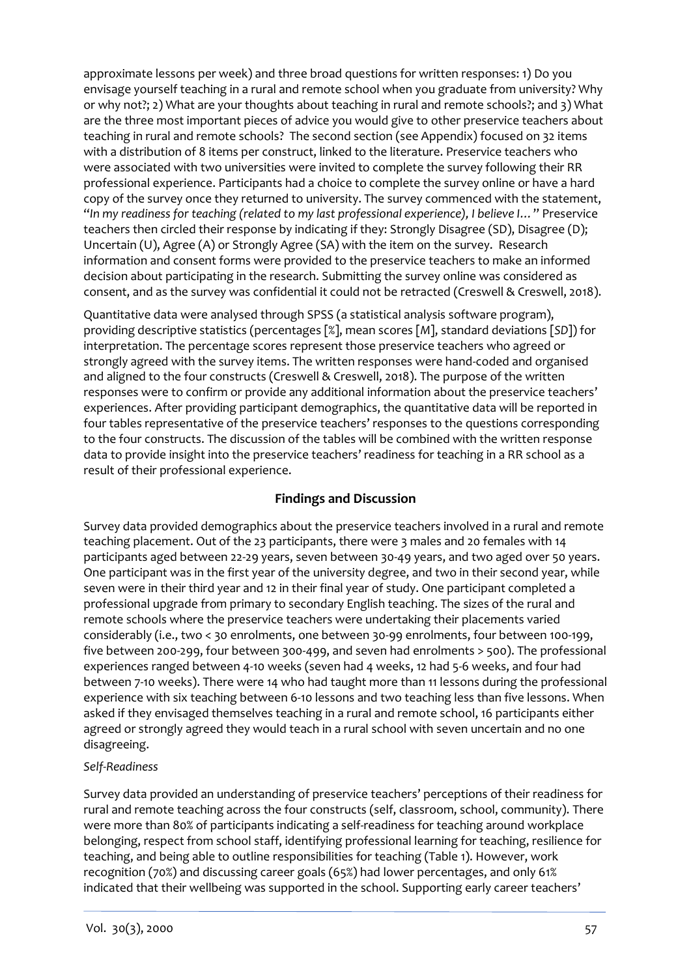approximate lessons per week) and three broad questions for written responses: 1) Do you envisage yourself teaching in a rural and remote school when you graduate from university? Why or why not?; 2) What are your thoughts about teaching in rural and remote schools?; and 3) What are the three most important pieces of advice you would give to other preservice teachers about teaching in rural and remote schools? The second section (see Appendix) focused on 32 items with a distribution of 8 items per construct, linked to the literature. Preservice teachers who were associated with two universities were invited to complete the survey following their RR professional experience. Participants had a choice to complete the survey online or have a hard copy of the survey once they returned to university. The survey commenced with the statement, "*In my readiness for teaching (related to my last professional experience), I believe I…*" Preservice teachers then circled their response by indicating if they: Strongly Disagree (SD), Disagree (D); Uncertain (U), Agree (A) or Strongly Agree (SA) with the item on the survey. Research information and consent forms were provided to the preservice teachers to make an informed decision about participating in the research. Submitting the survey online was considered as consent, and as the survey was confidential it could not be retracted (Creswell & Creswell, 2018).

Quantitative data were analysed through SPSS (a statistical analysis software program), providing descriptive statistics (percentages [%], mean scores [*M*], standard deviations [*SD*]) for interpretation. The percentage scores represent those preservice teachers who agreed or strongly agreed with the survey items. The written responses were hand-coded and organised and aligned to the four constructs (Creswell & Creswell, 2018). The purpose of the written responses were to confirm or provide any additional information about the preservice teachers' experiences. After providing participant demographics, the quantitative data will be reported in four tables representative of the preservice teachers' responses to the questions corresponding to the four constructs. The discussion of the tables will be combined with the written response data to provide insight into the preservice teachers' readiness for teaching in a RR school as a result of their professional experience.

### **Findings and Discussion**

Survey data provided demographics about the preservice teachers involved in a rural and remote teaching placement. Out of the 23 participants, there were 3 males and 20 females with 14 participants aged between 22-29 years, seven between 30-49 years, and two aged over 50 years. One participant was in the first year of the university degree, and two in their second year, while seven were in their third year and 12 in their final year of study. One participant completed a professional upgrade from primary to secondary English teaching. The sizes of the rural and remote schools where the preservice teachers were undertaking their placements varied considerably (i.e., two < 30 enrolments, one between 30-99 enrolments, four between 100-199, five between 200-299, four between 300-499, and seven had enrolments > 500). The professional experiences ranged between 4-10 weeks (seven had 4 weeks, 12 had 5-6 weeks, and four had between 7-10 weeks). There were 14 who had taught more than 11 lessons during the professional experience with six teaching between 6-10 lessons and two teaching less than five lessons. When asked if they envisaged themselves teaching in a rural and remote school, 16 participants either agreed or strongly agreed they would teach in a rural school with seven uncertain and no one disagreeing.

### *Self-Readiness*

Survey data provided an understanding of preservice teachers' perceptions of their readiness for rural and remote teaching across the four constructs (self, classroom, school, community). There were more than 80% of participants indicating a self-readiness for teaching around workplace belonging, respect from school staff, identifying professional learning for teaching, resilience for teaching, and being able to outline responsibilities for teaching (Table 1). However, work recognition (70%) and discussing career goals (65%) had lower percentages, and only 61% indicated that their wellbeing was supported in the school. Supporting early career teachers'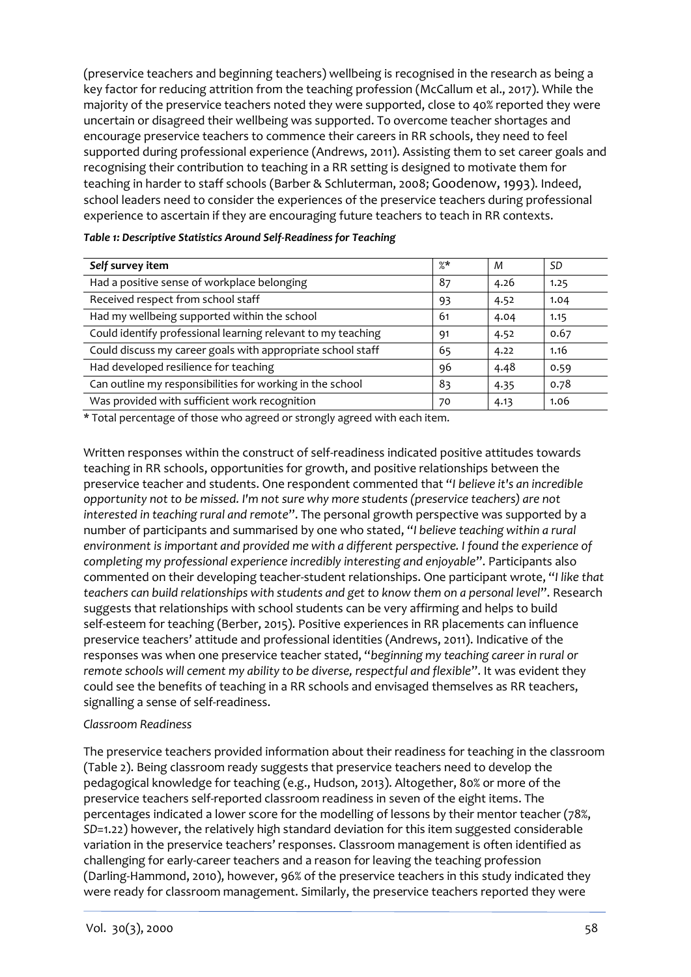(preservice teachers and beginning teachers) wellbeing is recognised in the research as being a key factor for reducing attrition from the teaching profession (McCallum et al., 2017). While the majority of the preservice teachers noted they were supported, close to 40% reported they were uncertain or disagreed their wellbeing was supported. To overcome teacher shortages and encourage preservice teachers to commence their careers in RR schools, they need to feel supported during professional experience (Andrews, 2011). Assisting them to set career goals and recognising their contribution to teaching in a RR setting is designed to motivate them for teaching in harder to staff schools (Barber & Schluterman, 2008; Goodenow, 1993). Indeed, school leaders need to consider the experiences of the preservice teachers during professional experience to ascertain if they are encouraging future teachers to teach in RR contexts.

| Self survey item                                             | $\%*$ | M    | SD   |
|--------------------------------------------------------------|-------|------|------|
| Had a positive sense of workplace belonging                  | 87    | 4.26 | 1.25 |
| Received respect from school staff                           | 93    | 4.52 | 1.04 |
| Had my wellbeing supported within the school                 | 61    | 4.04 | 1.15 |
| Could identify professional learning relevant to my teaching | 91    | 4.52 | 0.67 |
| Could discuss my career goals with appropriate school staff  | 65    | 4.22 | 1.16 |
| Had developed resilience for teaching                        | 96    | 4.48 | 0.59 |
| Can outline my responsibilities for working in the school    | 83    | 4.35 | 0.78 |
| Was provided with sufficient work recognition                | 70    | 4.13 | 1.06 |

#### *Table 1: Descriptive Statistics Around Self-Readiness for Teaching*

\* Total percentage of those who agreed or strongly agreed with each item.

Written responses within the construct of self-readiness indicated positive attitudes towards teaching in RR schools, opportunities for growth, and positive relationships between the preservice teacher and students. One respondent commented that "*I believe it's an incredible opportunity not to be missed. I'm not sure why more students (preservice teachers) are not interested in teaching rural and remote*". The personal growth perspective was supported by a number of participants and summarised by one who stated, "*I believe teaching within a rural environment is important and provided me with a different perspective. I found the experience of completing my professional experience incredibly interesting and enjoyable*". Participants also commented on their developing teacher-student relationships. One participant wrote, "*I like that teachers can build relationships with students and get to know them on a personal level*". Research suggests that relationships with school students can be very affirming and helps to build self-esteem for teaching (Berber, 2015). Positive experiences in RR placements can influence preservice teachers' attitude and professional identities (Andrews, 2011). Indicative of the responses was when one preservice teacher stated, "*beginning my teaching career in rural or remote schools will cement my ability to be diverse, respectful and flexible*". It was evident they could see the benefits of teaching in a RR schools and envisaged themselves as RR teachers, signalling a sense of self-readiness.

#### *Classroom Readiness*

The preservice teachers provided information about their readiness for teaching in the classroom (Table 2). Being classroom ready suggests that preservice teachers need to develop the pedagogical knowledge for teaching (e.g., Hudson, 2013). Altogether, 80% or more of the preservice teachers self-reported classroom readiness in seven of the eight items. The percentages indicated a lower score for the modelling of lessons by their mentor teacher (78%, *SD*=1.22) however, the relatively high standard deviation for this item suggested considerable variation in the preservice teachers' responses. Classroom management is often identified as challenging for early-career teachers and a reason for leaving the teaching profession (Darling-Hammond, 2010), however, 96% of the preservice teachers in this study indicated they were ready for classroom management. Similarly, the preservice teachers reported they were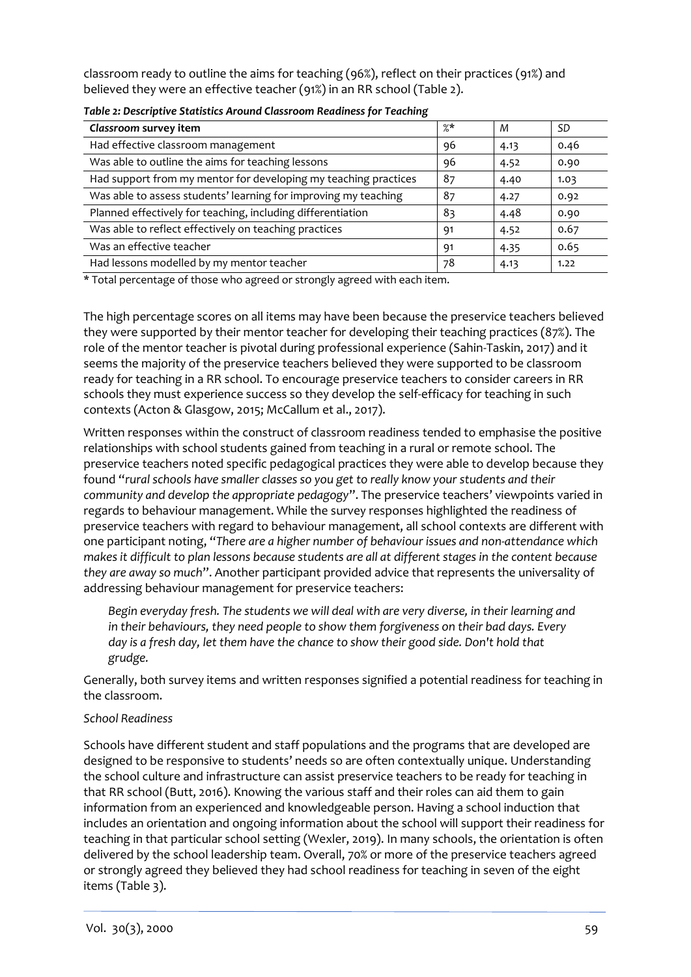classroom ready to outline the aims for teaching (96%), reflect on their practices (91%) and believed they were an effective teacher (91%) in an RR school (Table 2).

| Classroom survey item                                           | %* | М    | <b>SD</b> |
|-----------------------------------------------------------------|----|------|-----------|
| Had effective classroom management                              | 96 | 4.13 | 0.46      |
| Was able to outline the aims for teaching lessons               | 96 | 4.52 | 0.90      |
| Had support from my mentor for developing my teaching practices | 87 | 4.40 | 1.03      |
| Was able to assess students' learning for improving my teaching | 87 | 4.27 | 0.92      |
| Planned effectively for teaching, including differentiation     | 83 | 4.48 | 0.90      |
| Was able to reflect effectively on teaching practices           | 91 | 4.52 | 0.67      |
| Was an effective teacher                                        | 91 | 4.35 | 0.65      |
| Had lessons modelled by my mentor teacher                       | 78 | 4.13 | 1.22      |

\* Total percentage of those who agreed or strongly agreed with each item.

The high percentage scores on all items may have been because the preservice teachers believed they were supported by their mentor teacher for developing their teaching practices (87%). The role of the mentor teacher is pivotal during professional experience (Sahin-Taskin, 2017) and it seems the majority of the preservice teachers believed they were supported to be classroom ready for teaching in a RR school. To encourage preservice teachers to consider careers in RR schools they must experience success so they develop the self-efficacy for teaching in such contexts (Acton & Glasgow, 2015; McCallum et al., 2017).

Written responses within the construct of classroom readiness tended to emphasise the positive relationships with school students gained from teaching in a rural or remote school. The preservice teachers noted specific pedagogical practices they were able to develop because they found "*rural schools have smaller classes so you get to really know your students and their community and develop the appropriate pedagogy*". The preservice teachers' viewpoints varied in regards to behaviour management. While the survey responses highlighted the readiness of preservice teachers with regard to behaviour management, all school contexts are different with one participant noting, "*There are a higher number of behaviour issues and non-attendance which makes it difficult to plan lessons because students are all at different stages in the content because they are away so much*". Another participant provided advice that represents the universality of addressing behaviour management for preservice teachers:

*Begin everyday fresh. The students we will deal with are very diverse, in their learning and in their behaviours, they need people to show them forgiveness on their bad days. Every day is a fresh day, let them have the chance to show their good side. Don't hold that grudge.*

Generally, both survey items and written responses signified a potential readiness for teaching in the classroom.

#### *School Readiness*

Schools have different student and staff populations and the programs that are developed are designed to be responsive to students' needs so are often contextually unique. Understanding the school culture and infrastructure can assist preservice teachers to be ready for teaching in that RR school (Butt, 2016). Knowing the various staff and their roles can aid them to gain information from an experienced and knowledgeable person. Having a school induction that includes an orientation and ongoing information about the school will support their readiness for teaching in that particular school setting (Wexler, 2019). In many schools, the orientation is often delivered by the school leadership team. Overall, 70% or more of the preservice teachers agreed or strongly agreed they believed they had school readiness for teaching in seven of the eight items (Table 3).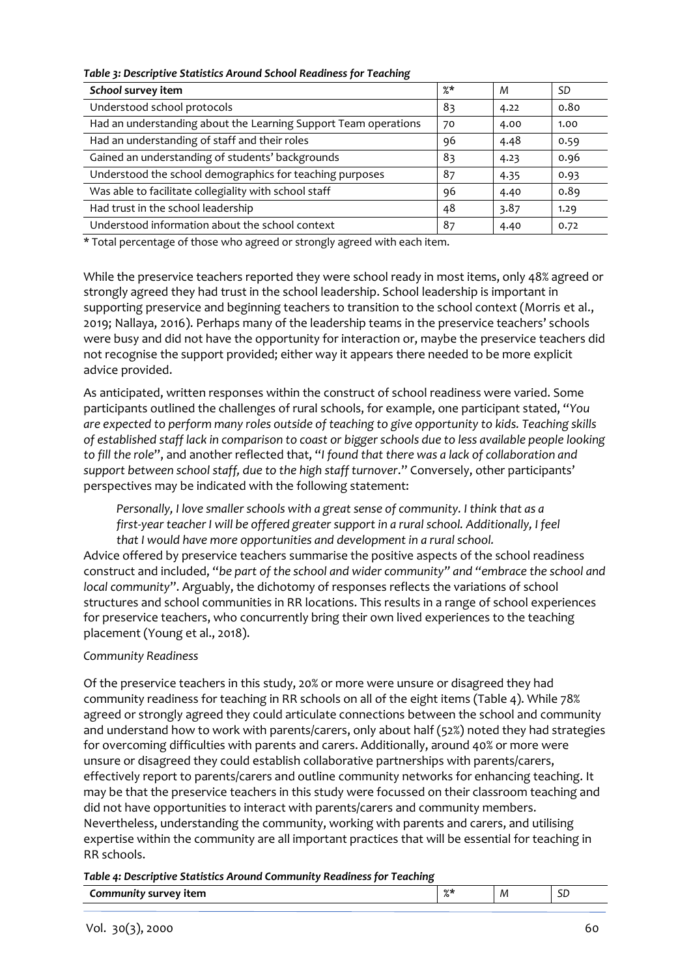#### *Table 3: Descriptive Statistics Around School Readiness for Teaching*

| School survey item                                              | %* | M    | <b>SD</b> |
|-----------------------------------------------------------------|----|------|-----------|
| Understood school protocols                                     | 83 | 4.22 | 0.80      |
| Had an understanding about the Learning Support Team operations | 70 | 4.00 | 1.00      |
| Had an understanding of staff and their roles                   | 96 | 4.48 | 0.59      |
| Gained an understanding of students' backgrounds                | 83 | 4.23 | 0.96      |
| Understood the school demographics for teaching purposes        | 87 | 4.35 | 0.93      |
| Was able to facilitate collegiality with school staff           | 96 | 4.40 | 0.89      |
| Had trust in the school leadership                              | 48 | 3.87 | 1.29      |
| Understood information about the school context                 | 87 | 4.40 | 0.72      |

\* Total percentage of those who agreed or strongly agreed with each item.

While the preservice teachers reported they were school ready in most items, only 48% agreed or strongly agreed they had trust in the school leadership. School leadership is important in supporting preservice and beginning teachers to transition to the school context (Morris et al., 2019; Nallaya, 2016). Perhaps many of the leadership teams in the preservice teachers' schools were busy and did not have the opportunity for interaction or, maybe the preservice teachers did not recognise the support provided; either way it appears there needed to be more explicit advice provided.

As anticipated, written responses within the construct of school readiness were varied. Some participants outlined the challenges of rural schools, for example, one participant stated, "*You are expected to perform many roles outside of teaching to give opportunity to kids. Teaching skills of established staff lack in comparison to coast or bigger schools due to less available people looking to fill the role*", and another reflected that, "*I found that there was a lack of collaboration and support between school staff, due to the high staff turnover*." Conversely, other participants' perspectives may be indicated with the following statement:

*Personally, I love smaller schools with a great sense of community. I think that as a first-year teacher I will be offered greater support in a rural school. Additionally, I feel that I would have more opportunities and development in a rural school.* 

Advice offered by preservice teachers summarise the positive aspects of the school readiness construct and included, "*be part of the school and wider community" and "embrace the school and local community*". Arguably, the dichotomy of responses reflects the variations of school structures and school communities in RR locations. This results in a range of school experiences for preservice teachers, who concurrently bring their own lived experiences to the teaching placement (Young et al., 2018).

#### *Community Readiness*

Of the preservice teachers in this study, 20% or more were unsure or disagreed they had community readiness for teaching in RR schools on all of the eight items (Table 4). While 78% agreed or strongly agreed they could articulate connections between the school and community and understand how to work with parents/carers, only about half (52%) noted they had strategies for overcoming difficulties with parents and carers. Additionally, around 40% or more were unsure or disagreed they could establish collaborative partnerships with parents/carers, effectively report to parents/carers and outline community networks for enhancing teaching. It may be that the preservice teachers in this study were focussed on their classroom teaching and did not have opportunities to interact with parents/carers and community members. Nevertheless, understanding the community, working with parents and carers, and utilising expertise within the community are all important practices that will be essential for teaching in RR schools.

*Table 4: Descriptive Statistics Around Community Readiness for Teaching*

| М<br>тен<br>ـار |
|-----------------|
|-----------------|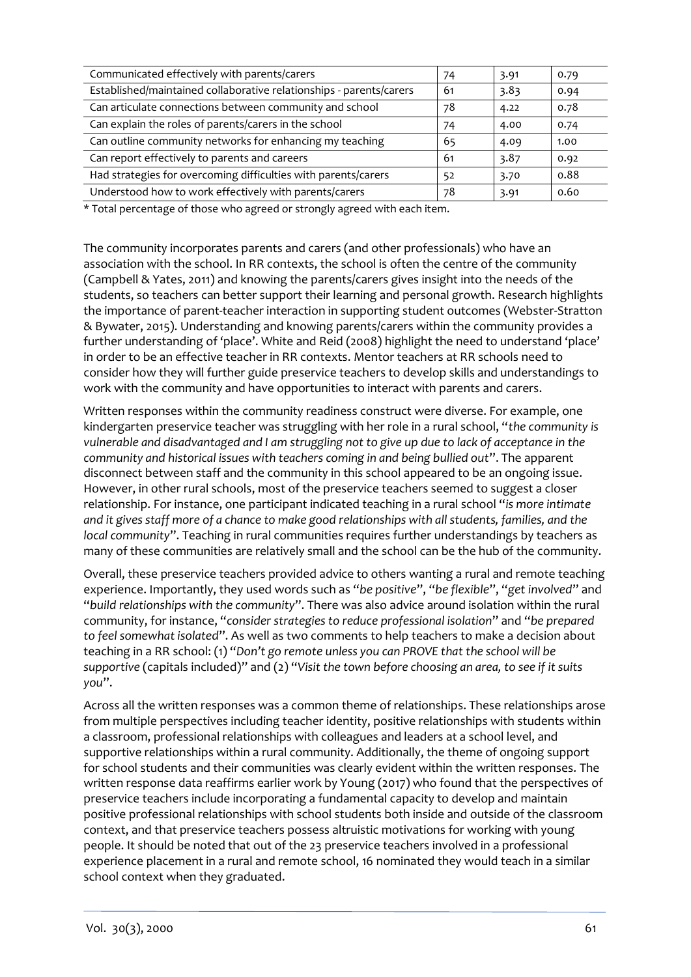| Communicated effectively with parents/carers                        | 74  | 3.91 | 0.79 |
|---------------------------------------------------------------------|-----|------|------|
| Established/maintained collaborative relationships - parents/carers | -61 | 3.83 | 0.94 |
| Can articulate connections between community and school             | 78  | 4.22 | 0.78 |
| Can explain the roles of parents/carers in the school               | 74  | 4.00 | 0.74 |
| Can outline community networks for enhancing my teaching            | 65  | 4.09 | 1.00 |
| Can report effectively to parents and careers                       | 61  | 3.87 | 0.92 |
| Had strategies for overcoming difficulties with parents/carers      | 52  | 3.70 | 0.88 |
| Understood how to work effectively with parents/carers              | 78  | 3.91 | 0.60 |

\* Total percentage of those who agreed or strongly agreed with each item.

The community incorporates parents and carers (and other professionals) who have an association with the school. In RR contexts, the school is often the centre of the community (Campbell & Yates, 2011) and knowing the parents/carers gives insight into the needs of the students, so teachers can better support their learning and personal growth. Research highlights the importance of parent-teacher interaction in supporting student outcomes (Webster-Stratton & Bywater, 2015). Understanding and knowing parents/carers within the community provides a further understanding of 'place'. White and Reid (2008) highlight the need to understand 'place' in order to be an effective teacher in RR contexts. Mentor teachers at RR schools need to consider how they will further guide preservice teachers to develop skills and understandings to work with the community and have opportunities to interact with parents and carers.

Written responses within the community readiness construct were diverse. For example, one kindergarten preservice teacher was struggling with her role in a rural school, "*the community is vulnerable and disadvantaged and I am struggling not to give up due to lack of acceptance in the community and historical issues with teachers coming in and being bullied out*". The apparent disconnect between staff and the community in this school appeared to be an ongoing issue. However, in other rural schools, most of the preservice teachers seemed to suggest a closer relationship. For instance, one participant indicated teaching in a rural school "*is more intimate and it gives staff more of a chance to make good relationships with all students, families, and the local community*". Teaching in rural communities requires further understandings by teachers as many of these communities are relatively small and the school can be the hub of the community.

Overall, these preservice teachers provided advice to others wanting a rural and remote teaching experience. Importantly, they used words such as "*be positive*", "*be flexible*", "*get involved*" and "*build relationships with the community*". There was also advice around isolation within the rural community, for instance, "*consider strategies to reduce professional isolation*" and "*be prepared to feel somewhat isolated*". As well as two comments to help teachers to make a decision about teaching in a RR school: (1) "*Don't go remote unless you can PROVE that the school will be supportive* (capitals included)" and (2) "*Visit the town before choosing an area, to see if it suits you*".

Across all the written responses was a common theme of relationships. These relationships arose from multiple perspectives including teacher identity, positive relationships with students within a classroom, professional relationships with colleagues and leaders at a school level, and supportive relationships within a rural community. Additionally, the theme of ongoing support for school students and their communities was clearly evident within the written responses. The written response data reaffirms earlier work by Young (2017) who found that the perspectives of preservice teachers include incorporating a fundamental capacity to develop and maintain positive professional relationships with school students both inside and outside of the classroom context, and that preservice teachers possess altruistic motivations for working with young people. It should be noted that out of the 23 preservice teachers involved in a professional experience placement in a rural and remote school, 16 nominated they would teach in a similar school context when they graduated.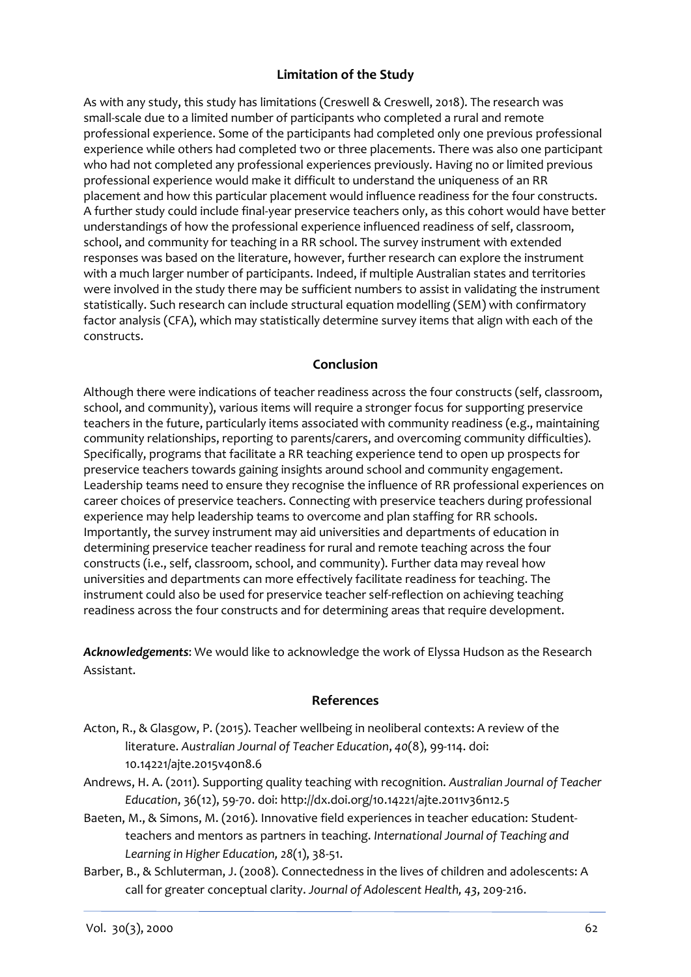### **Limitation of the Study**

As with any study, this study has limitations (Creswell & Creswell, 2018). The research was small-scale due to a limited number of participants who completed a rural and remote professional experience. Some of the participants had completed only one previous professional experience while others had completed two or three placements. There was also one participant who had not completed any professional experiences previously. Having no or limited previous professional experience would make it difficult to understand the uniqueness of an RR placement and how this particular placement would influence readiness for the four constructs. A further study could include final-year preservice teachers only, as this cohort would have better understandings of how the professional experience influenced readiness of self, classroom, school, and community for teaching in a RR school. The survey instrument with extended responses was based on the literature, however, further research can explore the instrument with a much larger number of participants. Indeed, if multiple Australian states and territories were involved in the study there may be sufficient numbers to assist in validating the instrument statistically. Such research can include structural equation modelling (SEM) with confirmatory factor analysis (CFA), which may statistically determine survey items that align with each of the constructs.

#### **Conclusion**

Although there were indications of teacher readiness across the four constructs (self, classroom, school, and community), various items will require a stronger focus for supporting preservice teachers in the future, particularly items associated with community readiness (e.g., maintaining community relationships, reporting to parents/carers, and overcoming community difficulties). Specifically, programs that facilitate a RR teaching experience tend to open up prospects for preservice teachers towards gaining insights around school and community engagement. Leadership teams need to ensure they recognise the influence of RR professional experiences on career choices of preservice teachers. Connecting with preservice teachers during professional experience may help leadership teams to overcome and plan staffing for RR schools. Importantly, the survey instrument may aid universities and departments of education in determining preservice teacher readiness for rural and remote teaching across the four constructs (i.e., self, classroom, school, and community). Further data may reveal how universities and departments can more effectively facilitate readiness for teaching. The instrument could also be used for preservice teacher self-reflection on achieving teaching readiness across the four constructs and for determining areas that require development.

*Acknowledgements*: We would like to acknowledge the work of Elyssa Hudson as the Research Assistant.

#### **References**

- Acton, R., & Glasgow, P. (2015). Teacher wellbeing in neoliberal contexts: A review of the literature. *Australian Journal of Teacher Education*, *40*(8), 99-114. doi: 10.14221/ajte.2015v40n8.6
- Andrews, H. A. (2011). Supporting quality teaching with recognition. *Australian Journal of Teacher Education*, 36(12), 59-70. doi: http://dx.doi.org/10.14221/ajte.2011v36n12.5
- Baeten, M., & Simons, M. (2016). Innovative field experiences in teacher education: Studentteachers and mentors as partners in teaching. *International Journal of Teaching and Learning in Higher Education, 28*(1), 38-51.
- Barber, B., & Schluterman, J. (2008). Connectedness in the lives of children and adolescents: A call for greater conceptual clarity. *Journal of Adolescent Health, 43*, 209-216.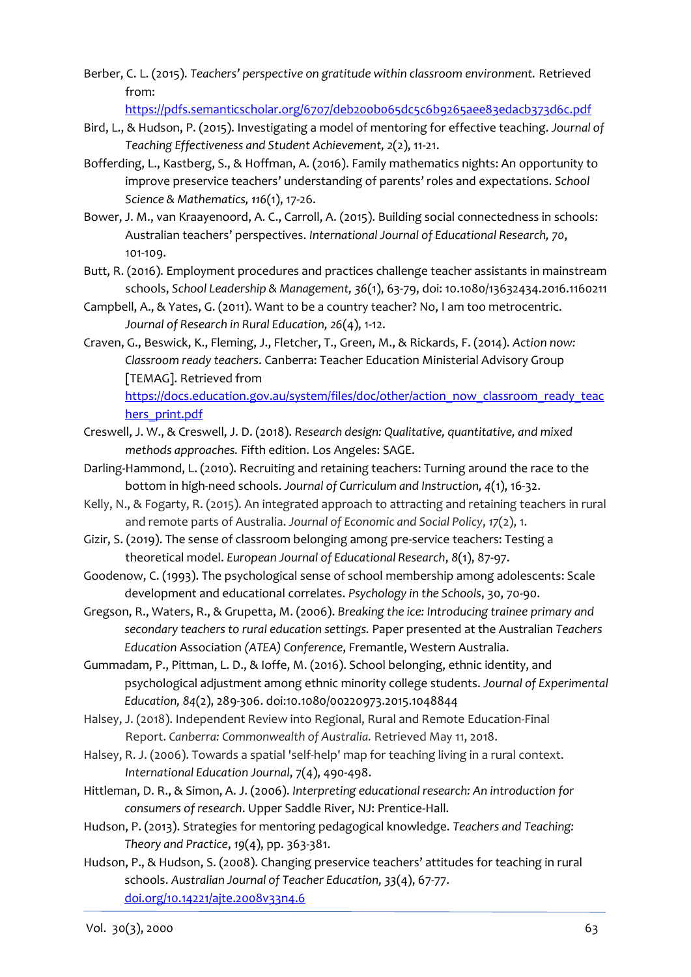Berber, C. L. (2015). *Teachers' perspective on gratitude within classroom environment.* Retrieved from:

<https://pdfs.semanticscholar.org/6707/deb200b065dc5c6b9265aee83edacb373d6c.pdf>

- Bird, L., & Hudson, P. (2015). Investigating a model of mentoring for effective teaching. *Journal of Teaching Effectiveness and Student Achievement, 2*(2), 11-21.
- Bofferding, L., Kastberg, S., & Hoffman, A. (2016). Family mathematics nights: An opportunity to improve preservice teachers' understanding of parents' roles and expectations. *School Science & Mathematics, 116*(1), 17-26.
- Bower, J. M., van Kraayenoord, A. C., Carroll, A. (2015). Building social connectedness in schools: Australian teachers' perspectives. *[International Journal of Educational Research,](https://www.sciencedirect.com/science/journal/08830355) 70*, 101-109.
- Butt, R. (2016). Employment procedures and practices challenge teacher assistants in mainstream schools, *School Leadership & Management, 36*(1), 63-79, doi: 10.1080/13632434.2016.1160211
- Campbell, A., & Yates, G. (2011). Want to be a country teacher? No, I am too metrocentric. *Journal of Research in Rural Education, 26*(4), 1-12.
- Craven, G., Beswick, K., Fleming, J., Fletcher, T., Green, M., & Rickards, F. (2014). *Action now: Classroom ready teachers*. Canberra: Teacher Education Ministerial Advisory Group [TEMAG]. Retrieved from [https://docs.education.gov.au/system/files/doc/other/action\\_now\\_classroom\\_ready\\_teac](https://docs.education.gov.au/system/files/doc/other/action_now_classroom_ready_teachers_print.pdf) [hers\\_print.pdf](https://docs.education.gov.au/system/files/doc/other/action_now_classroom_ready_teachers_print.pdf)
- Creswell, J. W., & Creswell, J. D. (2018). *Research design: Qualitative, quantitative, and mixed methods approaches.* Fifth edition. Los Angeles: SAGE.
- Darling-Hammond, L. (2010). Recruiting and retaining teachers: Turning around the race to the bottom in high-need schools. *Journal of Curriculum and Instruction, 4*(1), 16-32.
- Kelly, N., & Fogarty, R. (2015). An integrated approach to attracting and retaining teachers in rural and remote parts of Australia. *Journal of Economic and Social Policy*, *17*(2), 1.
- Gizir, S. (2019). The sense of classroom belonging among pre-service teachers: Testing a theoretical model. *European Journal of Educational Research*, *8*(1), 87-97.
- Goodenow, C. (1993). The psychological sense of school membership among adolescents: Scale development and educational correlates. *Psychology in the Schools*, 30, 70-90.
- Gregson, R., Waters, R., & Grupetta, M. (2006). *Breaking the ice: Introducing trainee primary and secondary teachers to rural education settings.* Paper presented at the Australian *Teachers Education* Association *(ATEA) Conference*, Fremantle, Western Australia.
- Gummadam, P., Pittman, L. D., & Ioffe, M. (2016). School belonging, ethnic identity, and psychological adjustment among ethnic minority college students. *Journal of Experimental Education, 84*(2), 289-306. doi:10.1080/00220973.2015.1048844
- Halsey, J. (2018). Independent Review into Regional, Rural and Remote Education-Final Report. *Canberra: Commonwealth of Australia.* Retrieved May 11, 2018.
- Halsey, R. J. (2006). Towards a spatial 'self-help' map for teaching living in a rural context. *International Education Journal*, 7(4), 490-498.
- Hittleman, D. R., & Simon, A. J. (2006). *Interpreting educational research: An introduction for consumers of research*. Upper Saddle River, NJ: Prentice-Hall.
- Hudson, P. (2013). Strategies for mentoring pedagogical knowledge. *Teachers and Teaching: Theory and Practice*, *19*(4), pp. 363-381.
- Hudson, P., & Hudson, S. (2008). Changing preservice teachers' attitudes for teaching in rural schools. *Australian Journal of Teacher Education, 33*(4), 67-77. [doi.org/10.14221/ajte.2008v33n4.6](https://doi.org/10.14221/ajte.2008v33n4.6)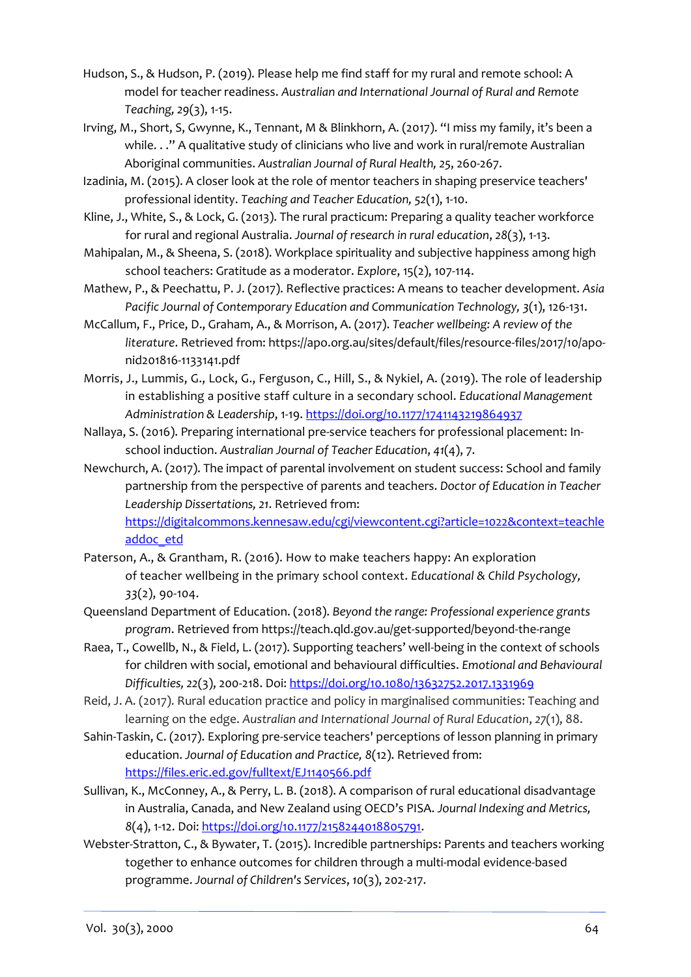- Hudson, S., & Hudson, P. (2019). Please help me find staff for my rural and remote school: A model for teacher readiness. *Australian and International Journal of Rural and Remote Teaching, 29*(3), 1-15.
- Irving, M., Short, S, Gwynne, K., Tennant, M & Blinkhorn, A. (2017). "I miss my family, it's been a while. . ." A qualitative study of clinicians who live and work in rural/remote Australian Aboriginal communities. *Australian Journal of Rural Health, 25*, 260-267.
- Izadinia, M. (2015). A closer look at the role of mentor teachers in shaping preservice teachers' professional identity. *Teaching and Teacher Education, 52*(1), 1-10.
- Kline, J., White, S., & Lock, G. (2013). The rural practicum: Preparing a quality teacher workforce for rural and regional Australia. *Journal of research in rural education*, *28*(3), 1-13.
- Mahipalan, M., & Sheena, S. (2018). Workplace spirituality and subjective happiness among high school teachers: Gratitude as a moderator. *Explore*, 15(2), 107-114.
- Mathew, P., & Peechattu, P. J. (2017). Reflective practices: A means to teacher development. *Asia Pacific Journal of Contemporary Education and Communication Technology, 3*(1), 126-131.
- McCallum, F., Price, D., Graham, A., & Morrison, A. (2017). *Teacher wellbeing: A review of the literature*. Retrieved from[: https://apo.org.au/sites/default/files/resource-files/2017/10/apo](https://apo.org.au/sites/default/files/resource-files/2017/10/apo-nid201816-1133141.pdf)[nid201816-1133141.pdf](https://apo.org.au/sites/default/files/resource-files/2017/10/apo-nid201816-1133141.pdf)
- Morris, J., Lummis, G., Lock, G., Ferguson, C., Hill, S., & Nykiel, A. (2019). The role of leadership in establishing a positive staff culture in a secondary school. *Educational Management Administration & Leadership*, 1-19[. https://doi.org/10.1177/1741143219864937](https://doi.org/10.1177/1741143219864937)
- Nallaya, S. (2016). Preparing international pre-service teachers for professional placement: Inschool induction. *Australian Journal of Teacher Education*, *41*(4), 7.
- Newchurch, A. (2017). The impact of parental involvement on student success: School and family partnership from the perspective of parents and teachers. *Doctor of Education in Teacher Leadership Dissertations, 21*. Retrieved from: [https://digitalcommons.kennesaw.edu/cgi/viewcontent.cgi?article=1022&context=teachle](https://digitalcommons.kennesaw.edu/cgi/viewcontent.cgi?article=1022&context=teachleaddoc_etd)

[addoc\\_etd](https://digitalcommons.kennesaw.edu/cgi/viewcontent.cgi?article=1022&context=teachleaddoc_etd)

- Paterson, A., & Grantham, R. (2016). How to make teachers happy: An exploration of teacher wellbeing in the primary school context. *Educational & Child Psychology, 33*(2), 90-104.
- Queensland Department of Education. (2018). *Beyond the range: Professional experience grants program*. Retrieved from https://teach.qld.gov.au/get-supported/beyond-the-range
- Raea, T., Cowellb, N., & Field, L. (2017). Supporting teachers' well-being in the context of schools for children with social, emotional and behavioural difficulties. *Emotional and Behavioural Difficulties, 22*(3), 200-218. Doi[: https://doi.org/10.1080/13632752.2017.1331969](https://doi.org/10.1080/13632752.2017.1331969)
- Reid, J. A. (2017). Rural education practice and policy in marginalised communities: Teaching and learning on the edge. *Australian and International Journal of Rural Education*, *27*(1), 88.
- Sahin-Taskin, C. (2017). Exploring pre-service teachers' perceptions of lesson planning in primary education. *Journal of Education and Practice, 8*(12). Retrieved from: <https://files.eric.ed.gov/fulltext/EJ1140566.pdf>
- Sullivan, K., McConney, A., & Perry, L. B. (2018). A comparison of rural educational disadvantage in Australia, Canada, and New Zealand using OECD's PISA. *Journal Indexing and Metrics, 8*(4), 1-12. Doi: [https://doi.org/10.1177/2158244018805791.](https://doi.org/10.1177%2F2158244018805791)
- Webster-Stratton, C., & Bywater, T. (2015). Incredible partnerships: Parents and teachers working together to enhance outcomes for children through a multi-modal evidence-based programme. *[Journal of Children's Services](https://www-emerald-com.ezp.lib.unimelb.edu.au/insight/publication/issn/1746-6660)*, *10*(3), 202-217.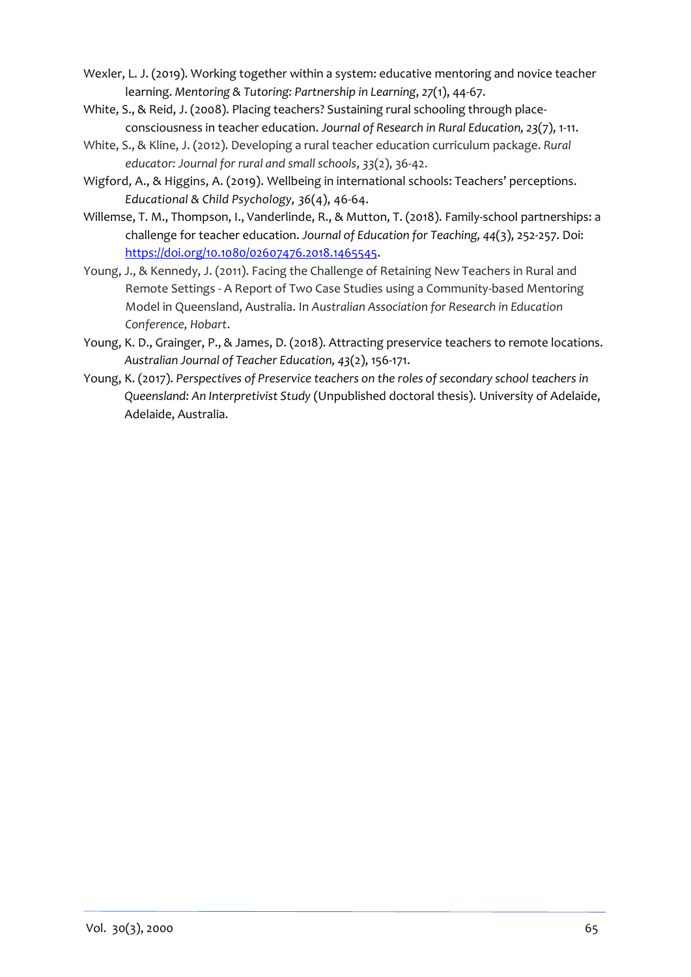- Wexler, L. J. (2019). Working together within a system: educative mentoring and novice teacher learning. *Mentoring & Tutoring: Partnership in Learning*, *27*(1), 44-67.
- White, S., & Reid, J. (2008). Placing teachers? Sustaining rural schooling through placeconsciousness in teacher education. *Journal of Research in Rural Education, 23*(7), 1-11.
- White, S., & Kline, J. (2012). Developing a rural teacher education curriculum package. *Rural educator: Journal for rural and small schools*, *33*(2), 36-42.
- Wigford, A., & Higgins, A. (2019). Wellbeing in international schools: Teachers' perceptions. *Educational & Child Psychology, 36*(4), 46-64.
- Willemse, T. M., Thompson, I., Vanderlinde, R., & Mutton, T. (2018). Family-school partnerships: a challenge for teacher education. *Journal of Education for Teaching, 44*(3), 252-257. Doi: [https://doi.org/10.1080/02607476.2018.1465545.](https://doi.org/10.1080/02607476.2018.1465545)
- Young, J., & Kennedy, J. (2011). Facing the Challenge of Retaining New Teachers in Rural and Remote Settings - A Report of Two Case Studies using a Community-based Mentoring Model in Queensland, Australia. In *Australian Association for Research in Education Conference, Hobart*.
- Young, K. D., Grainger, P., & James, D. (2018). Attracting preservice teachers to remote locations. *Australian Journal of Teacher Education, 43*(2), 156-171.
- Young, K. (2017). *Perspectives of Preservice teachers on the roles of secondary school teachers in Queensland: An Interpretivist Study* (Unpublished doctoral thesis). University of Adelaide, Adelaide, Australia.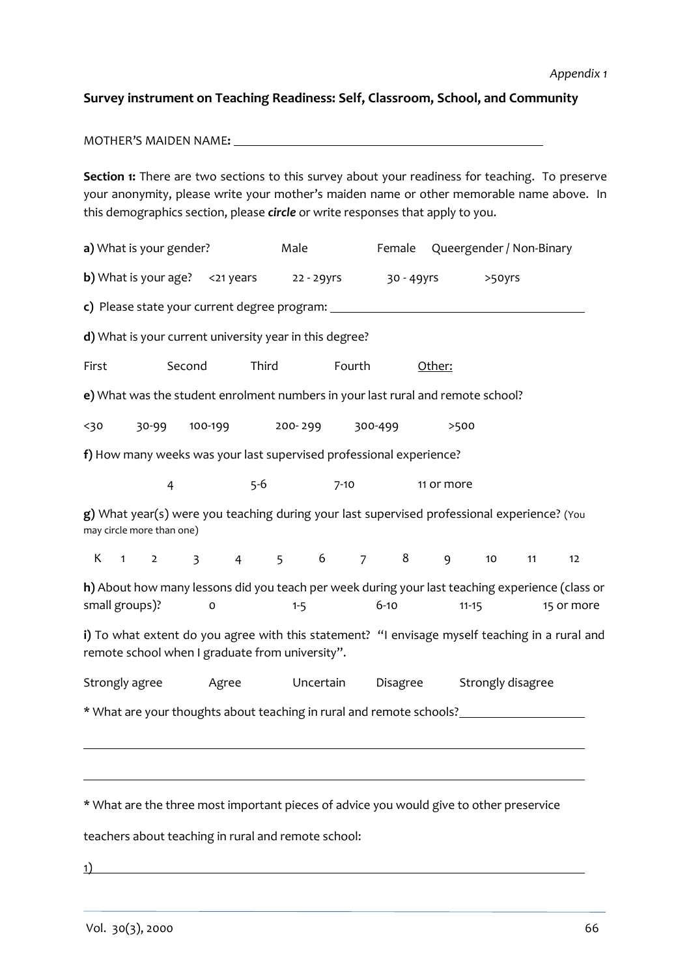#### **Survey instrument on Teaching Readiness: Self, Classroom, School, and Community**

MOTHER'S MAIDEN NAME**:**

**Section 1:** There are two sections to this survey about your readiness for teaching. To preserve your anonymity, please write your mother's maiden name or other memorable name above. In this demographics section, please *circle* or write responses that apply to you.

**a**) What is your gender? Male Female Queergender / Non-Binary **b)** What is your age?  $\leq$  21 years 22 - 29yrs 30 - 49yrs  $\geq$  50yrs **c)** Please state your current degree program: **d)** What is your current university year in this degree? First Second Third Fourth Other: **e)** What was the student enrolment numbers in your last rural and remote school? <30 30-99 100-199 200- 299 300-499 >500 **f)** How many weeks was your last supervised professional experience? 4 5-6 7-10 11 or more **g)** What year(s) were you teaching during your last supervised professional experience? (You may circle more than one) K 1 2 3 4 5 6 7 8 9 10 11 12 **h)** About how many lessons did you teach per week during your last teaching experience (class or small groups)? 0 1-5 6-10 11-15 15 or more **i)** To what extent do you agree with this statement? "I envisage myself teaching in a rural and remote school when I graduate from university". Strongly agree Agree Uncertain Disagree Strongly disagree \* What are your thoughts about teaching in rural and remote schools? \* What are the three most important pieces of advice you would give to other preservice

teachers about teaching in rural and remote school:

1)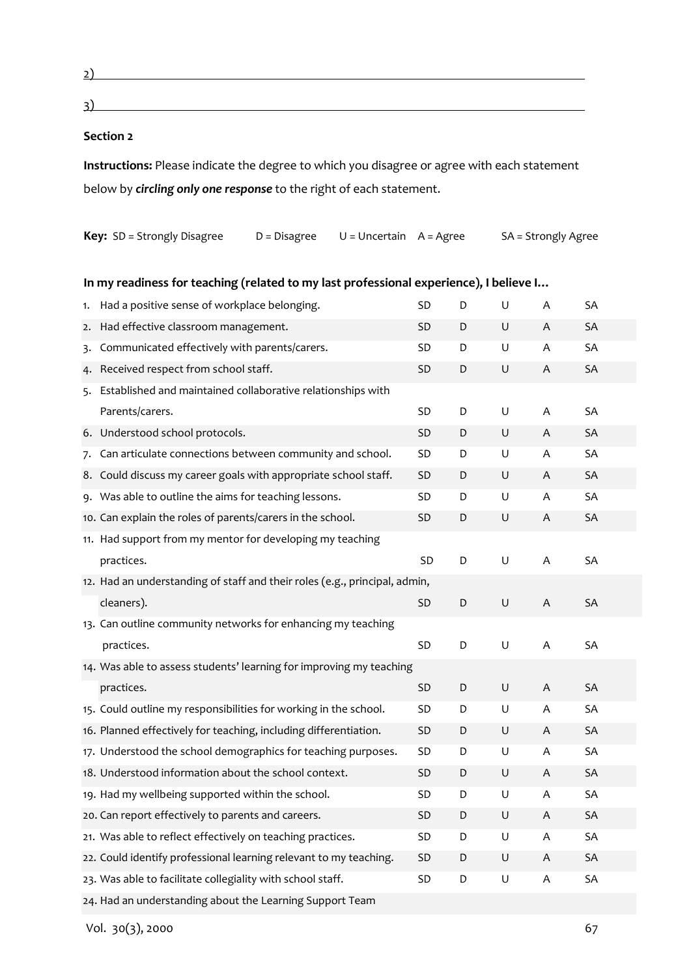2)

 $\overline{3}$ )

#### **Section 2**

**Instructions:** Please indicate the degree to which you disagree or agree with each statement below by *circling only one response* to the right of each statement.

| <b>Key:</b> SD = Strongly Disagree | $D = Disagree$ $U = Uncertain$ $A = Agree$ | SA = Strongly Agree |
|------------------------------------|--------------------------------------------|---------------------|
|                                    |                                            |                     |

|    | In my readiness for teaching (related to my last professional experience), I believe I |           |             |             |                           |           |  |
|----|----------------------------------------------------------------------------------------|-----------|-------------|-------------|---------------------------|-----------|--|
| 1. | Had a positive sense of workplace belonging.                                           | SD        | D           | U           | Α                         | SA        |  |
| 2. | Had effective classroom management.                                                    | SD        | D           | U           | A                         | SA        |  |
| 3. | Communicated effectively with parents/carers.                                          | <b>SD</b> | D           | U           | A                         | SA        |  |
| 4. | Received respect from school staff.                                                    | <b>SD</b> | D           | $\mathsf U$ | A                         | SA        |  |
| 5. | Established and maintained collaborative relationships with                            |           |             |             |                           |           |  |
|    | Parents/carers.                                                                        | SD        | D           | U           | Α                         | SA        |  |
|    | 6. Understood school protocols.                                                        | SD        | $\mathsf D$ | $\sf U$     | $\boldsymbol{\mathsf{A}}$ | SA        |  |
| 7. | Can articulate connections between community and school.                               | <b>SD</b> | D           | U           | A                         | SA        |  |
|    | 8. Could discuss my career goals with appropriate school staff.                        | <b>SD</b> | D           | U           | A                         | SA        |  |
|    | 9. Was able to outline the aims for teaching lessons.                                  | SD        | D           | U           | Α                         | SA        |  |
|    | 10. Can explain the roles of parents/carers in the school.                             | <b>SD</b> | D           | U           | A                         | SA        |  |
|    | 11. Had support from my mentor for developing my teaching                              |           |             |             |                           |           |  |
|    | practices.                                                                             | <b>SD</b> | D           | U           | A                         | SA        |  |
|    | 12. Had an understanding of staff and their roles (e.g., principal, admin,             |           |             |             |                           |           |  |
|    | cleaners).                                                                             | <b>SD</b> | D           | U           | A                         | <b>SA</b> |  |
|    | 13. Can outline community networks for enhancing my teaching                           |           |             |             |                           |           |  |
|    | practices.                                                                             | SD        | D           | U           | Α                         | SA        |  |
|    | 14. Was able to assess students' learning for improving my teaching                    |           |             |             |                           |           |  |
|    | practices.                                                                             | SD        | D           | U           | A                         | SA        |  |
|    | 15. Could outline my responsibilities for working in the school.                       | SD        | D           | U           | A                         | SA        |  |
|    | 16. Planned effectively for teaching, including differentiation.                       | SD        | D           | U           | A                         | SA        |  |
|    | 17. Understood the school demographics for teaching purposes.                          | SD        | D           | U           | A                         | SA        |  |
|    | 18. Understood information about the school context.                                   | SD        | D           | U           | A                         | SA        |  |
|    | 19. Had my wellbeing supported within the school.                                      | SD        | D           | U           | Α                         | <b>SA</b> |  |
|    | 20. Can report effectively to parents and careers.                                     | <b>SD</b> | $\mathsf D$ | $\mathsf U$ | $\boldsymbol{\mathsf{A}}$ | SA        |  |
|    | 21. Was able to reflect effectively on teaching practices.                             | SD        | D           | U           | Α                         | SA        |  |
|    | 22. Could identify professional learning relevant to my teaching.                      | SD        | D           | $\sf U$     | $\boldsymbol{\mathsf{A}}$ | SA        |  |
|    | 23. Was able to facilitate collegiality with school staff.                             | SD        | D           | U           | Α                         | SA        |  |
|    | 24. Had an understanding about the Learning Support Team                               |           |             |             |                           |           |  |